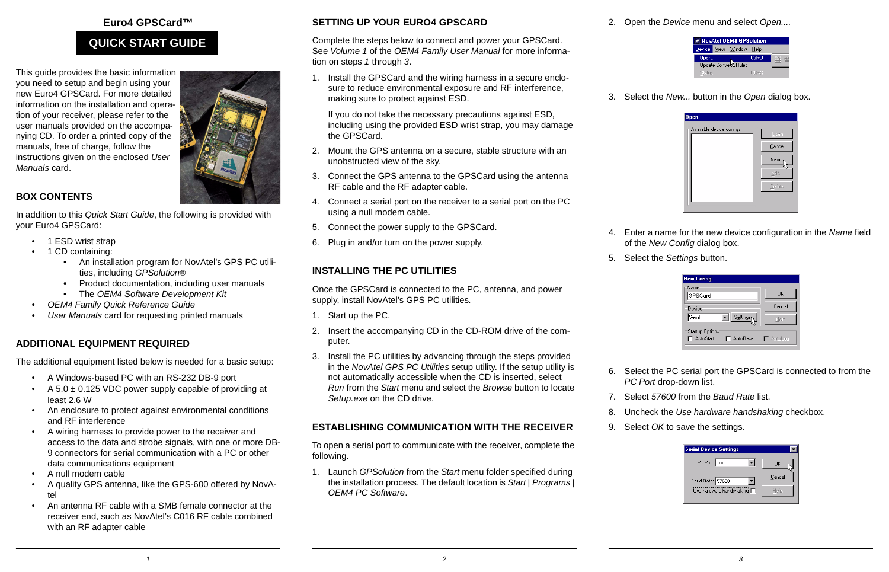#### **Euro4 GPSCard™**

## **QUICK START GUIDE**

This guide provides the basic information you need to setup and begin using your new Euro4 GPSCard. For more detailed information on the installation and operation of your receiver, please refer to the user manuals provided on the accompanying CD. To order a printed copy of the manuals, free of charge, follow the instructions given on the enclosed *User Manuals* card.

# **BOX CONTENTS**

In addition to this *Quick Start Guide*, the following is provided with your Euro4 GPSCard:

- 1 ESD wrist strap
- • 1 CD containing:
	- An installation program for NovAtel's GPS PC utilities, including *GPSolution®*
	- Product documentation, including user manuals
	- The *OEM4 Software Development Kit*
- *• OEM4 Family Quick Reference Guide*
- *•User Manuals card for requesting printed manuals*

## **ADDITIONAL EQUIPMENT REQUIRED**

The additional equipment listed below is needed for a basic setup:

- A Windows-based PC with an RS-232 DB-9 port
- •A 5.0  $\pm$  0.125 VDC power supply capable of providing at least 2.6 W
- An enclosure to protect against environmental conditions and RF interference
- A wiring harness to provide power to the receiver and access to the data and strobe signals, with one or more DB-9 connectors for serial communication with a PC or other data communications equipment
- •A null modem cable
- • A quality GPS antenna, like the GPS-600 offered by NovAtel
- • An antenna RF cable with a SMB female connector at the receiver end, such as NovAtel's C016 RF cable combined with an RF adapter cable

## **SETTING UP YOUR EURO4 GPSCARD**

Complete the steps below to connect and power your GPSCard. See *Volume 1* of the *OEM4 Family User Manual* for more information on steps *1* through *3*.

1. Install the GPSCard and the wiring harness in a secure enclosure to reduce environmental exposure and RF interference, making sure to protect against ESD.

If you do not take the necessary precautions against ESD, including using the provided ESD wrist strap, you may damage the GPSCard.

- 2. Mount the GPS antenna on a secure, stable structure with an unobstructed view of the sky.
- 3. Connect the GPS antenna to the GPSCard using the antenna RF cable and the RF adapter cable.
- 4. Connect a serial port on the receiver to a serial port on the PC using a null modem cable.
- 5. Connect the power supply to the GPSCard.
- 6. Plug in and/or turn on the power supply.

# **INSTALLING THE PC UTILITIES**

Once the GPSCard is connected to the PC, antenna, and power supply, install NovAtel's GPS PC utilities*.*

- 1. Start up the PC.
- 2. Insert the accompanying CD in the CD-ROM drive of the computer.
- 3. Install the PC utilities by advancing through the steps provided in the *NovAtel GPS PC Utilities* setup utility. If the setup utility is not automatically accessible when the CD is inserted, select *Run* from the *Start* menu and select the *Browse* button to locate *Setup.exe* on the CD drive.

## **ESTABLISHING COMMUNICATION WITH THE RECEIVER**

To open a serial port to communicate with the receiver, complete the following.

1. Launch *GPSolution* from the *Start* menu folder specified during the installation process. The default location is *Start* | *Programs* | *OEM4 PC Software*.

2. Open the *Device* menu and select *Open....*



3. Select the *New...* button in the *Open* dialog box.



- 4. Enter a name for the new device configuration in the *Name* field of the *New Config* dialog box.
- 5. Select the *Settings* button.

| <b>New Config</b>                                          |        |
|------------------------------------------------------------|--------|
| Name<br>GPSCard                                            | OK     |
| Device                                                     | Cancel |
| Serial<br>Settings                                         | Help   |
| <b>Startup Options</b><br>AutoStart<br>AutoReset F AutoLog |        |

- 6. Select the PC serial port the GPSCard is connected to from the *PC Port* drop-down list.
- 7. Select *57600* from the *Baud Rate* list.
- 8. Uncheck the *Use hardware handshaking* checkbox.
- 9. Select *OK* to save the settings.